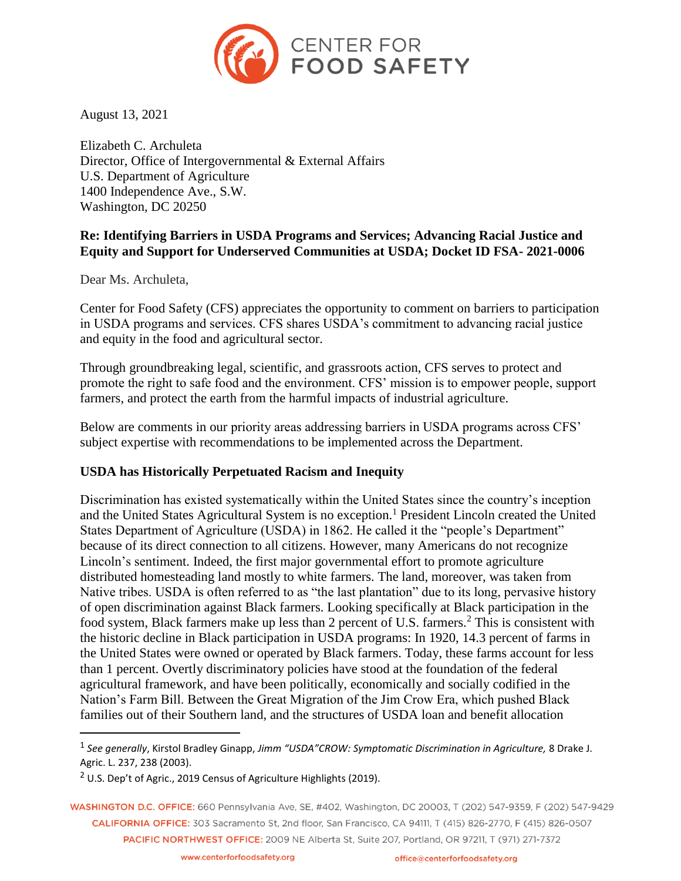

August 13, 2021

Elizabeth C. Archuleta Director, Office of Intergovernmental & External Affairs U.S. Department of Agriculture 1400 Independence Ave., S.W. Washington, DC 20250

## **Re: Identifying Barriers in USDA Programs and Services; Advancing Racial Justice and Equity and Support for Underserved Communities at USDA; Docket ID FSA- 2021-0006**

Dear Ms. Archuleta,

 $\overline{a}$ 

Center for Food Safety (CFS) appreciates the opportunity to comment on barriers to participation in USDA programs and services. CFS shares USDA's commitment to advancing racial justice and equity in the food and agricultural sector.

Through groundbreaking legal, scientific, and grassroots action, CFS serves to protect and promote the right to safe food and the environment. CFS' mission is to empower people, support farmers, and protect the earth from the harmful impacts of industrial agriculture.

Below are comments in our priority areas addressing barriers in USDA programs across CFS' subject expertise with recommendations to be implemented across the Department.

## **USDA has Historically Perpetuated Racism and Inequity**

Discrimination has existed systematically within the United States since the country's inception and the United States Agricultural System is no exception.<sup>1</sup> President Lincoln created the United States Department of Agriculture (USDA) in 1862. He called it the "people's Department" because of its direct connection to all citizens. However, many Americans do not recognize Lincoln's sentiment. Indeed, the first major governmental effort to promote agriculture distributed homesteading land mostly to white farmers. The land, moreover, was taken from Native tribes. USDA is often referred to as "the last plantation" due to its long, pervasive history of open discrimination against Black farmers. Looking specifically at Black participation in the food system, Black farmers make up less than 2 percent of U.S. farmers.<sup>2</sup> This is consistent with the historic decline in Black participation in USDA programs: In 1920, 14.3 percent of farms in the United States were owned or operated by Black farmers. Today, these farms account for less than 1 percent. Overtly discriminatory policies have stood at the foundation of the federal agricultural framework, and have been politically, economically and socially codified in the Nation's Farm Bill. Between the Great Migration of the Jim Crow Era, which pushed Black families out of their Southern land, and the structures of USDA loan and benefit allocation

WASHINGTON D.C. OFFICE: 660 Pennsylvania Ave, SE, #402, Washington, DC 20003, T (202) 547-9359, F (202) 547-9429 CALIFORNIA OFFICE: 303 Sacramento St. 2nd floor. San Francisco. CA 94111. T (415) 826-2770. F (415) 826-0507 PACIFIC NORTHWEST OFFICE: 2009 NE Alberta St, Suite 207, Portland, OR 97211, T (971) 271-7372

<sup>1</sup> *See generally*, Kirstol Bradley Ginapp, *Jimm "USDA"CROW: Symptomatic Discrimination in Agriculture,* 8 Drake J. Agric. L. 237, 238 (2003).

 $2$  U.S. Dep't of Agric., 2019 Census of Agriculture Highlights (2019).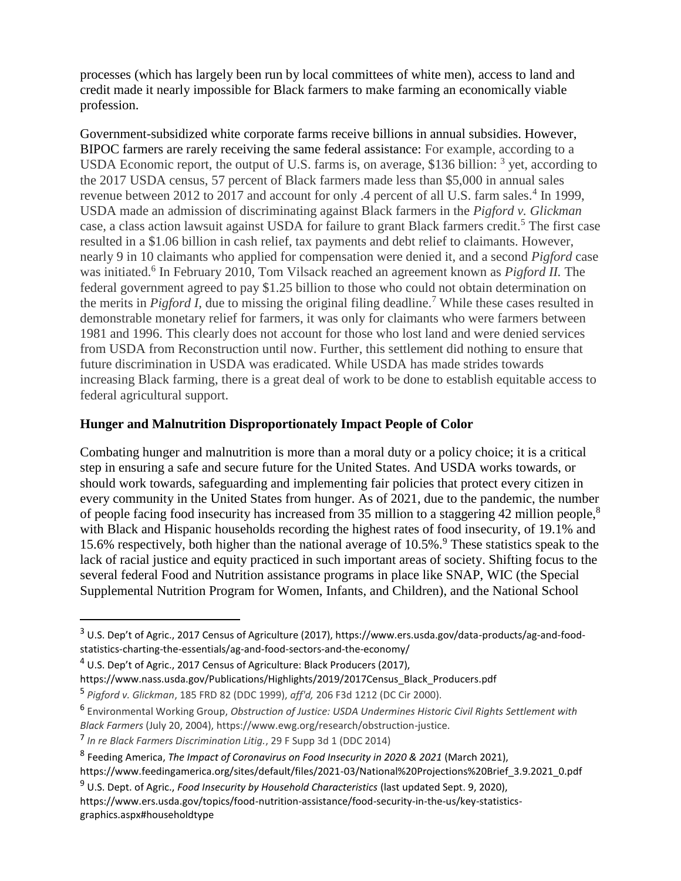processes (which has largely been run by local committees of white men), access to land and credit made it nearly impossible for Black farmers to make farming an economically viable profession.

Government-subsidized white corporate farms receive billions in annual subsidies. However, BIPOC farmers are rarely receiving the same federal assistance: For example, according to a USDA Economic report, the output of U.S. farms is, on average, \$136 billion:  $3$  yet, according to the 2017 USDA census, 57 percent of Black farmers made less than \$5,000 in annual sales revenue between 2012 to 2017 and account for only .4 percent of all U.S. farm sales.<sup>4</sup> In 1999, USDA made an admission of discriminating against Black farmers in the *Pigford v. Glickman*  case, a class action lawsuit against USDA for failure to grant Black farmers credit.<sup>5</sup> The first case resulted in a \$1.06 billion in cash relief, tax payments and debt relief to claimants. However, nearly 9 in 10 claimants who applied for compensation were denied it, and a second *Pigford* case was initiated.<sup>6</sup> In February 2010, Tom Vilsack reached an agreement known as *Pigford II*. The federal government agreed to pay \$1.25 billion to those who could not obtain determination on the merits in *Pigford I,* due to missing the original filing deadline.<sup>7</sup> While these cases resulted in demonstrable monetary relief for farmers, it was only for claimants who were farmers between 1981 and 1996. This clearly does not account for those who lost land and were denied services from USDA from Reconstruction until now. Further, this settlement did nothing to ensure that future discrimination in USDA was eradicated. While USDA has made strides towards increasing Black farming, there is a great deal of work to be done to establish equitable access to federal agricultural support.

## **Hunger and Malnutrition Disproportionately Impact People of Color**

Combating hunger and malnutrition is more than a moral duty or a policy choice; it is a critical step in ensuring a safe and secure future for the United States. And USDA works towards, or should work towards, safeguarding and implementing fair policies that protect every citizen in every community in the United States from hunger. As of 2021, due to the pandemic, the number of people facing food insecurity has increased from 35 million to a staggering 42 million people,<sup>8</sup> with Black and Hispanic households recording the highest rates of food insecurity, of 19.1% and 15.6% respectively, both higher than the national average of 10.5%.<sup>9</sup> These statistics speak to the lack of racial justice and equity practiced in such important areas of society. Shifting focus to the several federal Food and Nutrition assistance programs in place like SNAP, WIC (the Special Supplemental Nutrition Program for Women, Infants, and Children), and the National School

 $\overline{a}$ 

<sup>3</sup> U.S. Dep't of Agric., 2017 Census of Agriculture (2017), https://www.ers.usda.gov/data-products/ag-and-foodstatistics-charting-the-essentials/ag-and-food-sectors-and-the-economy/

<sup>4</sup> U.S. Dep't of Agric., 2017 Census of Agriculture: Black Producers (2017),

https://www.nass.usda.gov/Publications/Highlights/2019/2017Census\_Black\_Producers.pdf

<sup>5</sup> *Pigford v. Glickman*, 185 FRD 82 (DDC 1999), *aff'd,* 206 F3d 1212 (DC Cir 2000).

<sup>6</sup> Environmental Working Group, *Obstruction of Justice: USDA Undermines Historic Civil Rights Settlement with Black Farmers* (July 20, 2004), https://www.ewg.org/research/obstruction-justice.

<sup>7</sup> *In re Black Farmers Discrimination Litig.*, 29 F Supp 3d 1 (DDC 2014)

<sup>8</sup> Feeding America, *The Impact of Coronavirus on Food Insecurity in 2020 & 2021* (March 2021),

https://www.feedingamerica.org/sites/default/files/2021-03/National%20Projections%20Brief\_3.9.2021\_0.pdf

<sup>9</sup> U.S. Dept. of Agric., *Food Insecurity by Household Characteristics* (last updated Sept. 9, 2020),

https://www.ers.usda.gov/topics/food-nutrition-assistance/food-security-in-the-us/key-statisticsgraphics.aspx#householdtype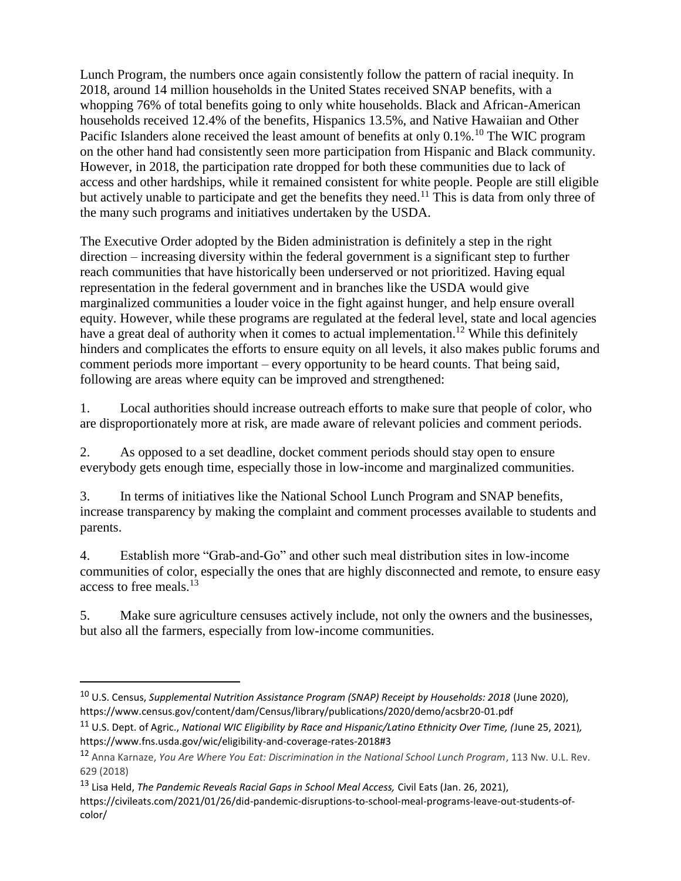Lunch Program, the numbers once again consistently follow the pattern of racial inequity. In 2018, around 14 million households in the United States received SNAP benefits, with a whopping 76% of total benefits going to only white households. Black and African-American households received 12.4% of the benefits, Hispanics 13.5%, and Native Hawaiian and Other Pacific Islanders alone received the least amount of benefits at only  $0.1\%$ <sup>10</sup> The WIC program on the other hand had consistently seen more participation from Hispanic and Black community. However, in 2018, the participation rate dropped for both these communities due to lack of access and other hardships, while it remained consistent for white people. People are still eligible but actively unable to participate and get the benefits they need.<sup>11</sup> This is data from only three of the many such programs and initiatives undertaken by the USDA.

The Executive Order adopted by the Biden administration is definitely a step in the right direction – increasing diversity within the federal government is a significant step to further reach communities that have historically been underserved or not prioritized. Having equal representation in the federal government and in branches like the USDA would give marginalized communities a louder voice in the fight against hunger, and help ensure overall equity. However, while these programs are regulated at the federal level, state and local agencies have a great deal of authority when it comes to actual implementation.<sup>12</sup> While this definitely hinders and complicates the efforts to ensure equity on all levels, it also makes public forums and comment periods more important – every opportunity to be heard counts. That being said, following are areas where equity can be improved and strengthened:

1. Local authorities should increase outreach efforts to make sure that people of color, who are disproportionately more at risk, are made aware of relevant policies and comment periods.

2. As opposed to a set deadline, docket comment periods should stay open to ensure everybody gets enough time, especially those in low-income and marginalized communities.

3. In terms of initiatives like the National School Lunch Program and SNAP benefits, increase transparency by making the complaint and comment processes available to students and parents.

4. Establish more "Grab-and-Go" and other such meal distribution sites in low-income communities of color, especially the ones that are highly disconnected and remote, to ensure easy access to free meals.<sup>13</sup>

5. Make sure agriculture censuses actively include, not only the owners and the businesses, but also all the farmers, especially from low-income communities.

 $\overline{a}$ 

<sup>10</sup> U.S. Census, *Supplemental Nutrition Assistance Program (SNAP) Receipt by Households: 2018* (June 2020), https://www.census.gov/content/dam/Census/library/publications/2020/demo/acsbr20-01.pdf

<sup>11</sup> U.S. Dept. of Agric., *National WIC Eligibility by Race and Hispanic/Latino Ethnicity Over Time, (*June 25, 2021)*,*  https://www.fns.usda.gov/wic/eligibility-and-coverage-rates-2018#3

<sup>12</sup> Anna Karnaze, *You Are Where You Eat: Discrimination in the National School Lunch Program*, 113 Nw. U.L. Rev. 629 (2018)

<sup>13</sup> Lisa Held, *The Pandemic Reveals Racial Gaps in School Meal Access,* Civil Eats (Jan. 26, 2021), https://civileats.com/2021/01/26/did-pandemic-disruptions-to-school-meal-programs-leave-out-students-ofcolor/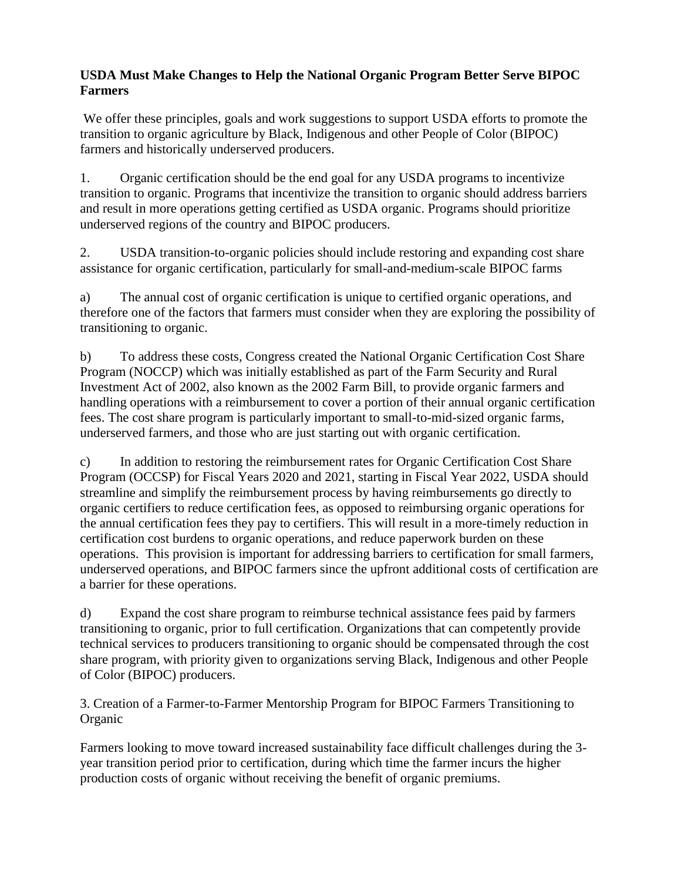# **USDA Must Make Changes to Help the National Organic Program Better Serve BIPOC Farmers**

We offer these principles, goals and work suggestions to support USDA efforts to promote the transition to organic agriculture by Black, Indigenous and other People of Color (BIPOC) farmers and historically underserved producers.

1. Organic certification should be the end goal for any USDA programs to incentivize transition to organic. Programs that incentivize the transition to organic should address barriers and result in more operations getting certified as USDA organic. Programs should prioritize underserved regions of the country and BIPOC producers.

2. USDA transition-to-organic policies should include restoring and expanding cost share assistance for organic certification, particularly for small-and-medium-scale BIPOC farms

a) The annual cost of organic certification is unique to certified organic operations, and therefore one of the factors that farmers must consider when they are exploring the possibility of transitioning to organic.

b) To address these costs, Congress created the National Organic Certification Cost Share Program (NOCCP) which was initially established as part of the Farm Security and Rural Investment Act of 2002, also known as the 2002 Farm Bill, to provide organic farmers and handling operations with a reimbursement to cover a portion of their annual organic certification fees. The cost share program is particularly important to small-to-mid-sized organic farms, underserved farmers, and those who are just starting out with organic certification.

c) In addition to restoring the reimbursement rates for Organic Certification Cost Share Program (OCCSP) for Fiscal Years 2020 and 2021, starting in Fiscal Year 2022, USDA should streamline and simplify the reimbursement process by having reimbursements go directly to organic certifiers to reduce certification fees, as opposed to reimbursing organic operations for the annual certification fees they pay to certifiers. This will result in a more-timely reduction in certification cost burdens to organic operations, and reduce paperwork burden on these operations. This provision is important for addressing barriers to certification for small farmers, underserved operations, and BIPOC farmers since the upfront additional costs of certification are a barrier for these operations.

d) Expand the cost share program to reimburse technical assistance fees paid by farmers transitioning to organic, prior to full certification. Organizations that can competently provide technical services to producers transitioning to organic should be compensated through the cost share program, with priority given to organizations serving Black, Indigenous and other People of Color (BIPOC) producers.

3. Creation of a Farmer-to-Farmer Mentorship Program for BIPOC Farmers Transitioning to **Organic** 

Farmers looking to move toward increased sustainability face difficult challenges during the 3 year transition period prior to certification, during which time the farmer incurs the higher production costs of organic without receiving the benefit of organic premiums.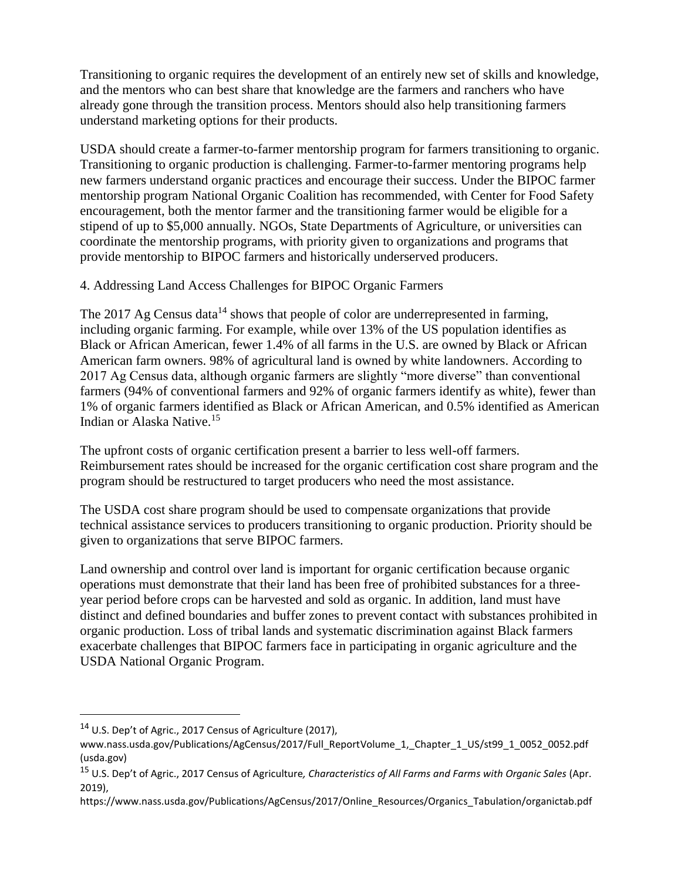Transitioning to organic requires the development of an entirely new set of skills and knowledge, and the mentors who can best share that knowledge are the farmers and ranchers who have already gone through the transition process. Mentors should also help transitioning farmers understand marketing options for their products.

USDA should create a farmer-to-farmer mentorship program for farmers transitioning to organic. Transitioning to organic production is challenging. Farmer-to-farmer mentoring programs help new farmers understand organic practices and encourage their success. Under the BIPOC farmer mentorship program National Organic Coalition has recommended, with Center for Food Safety encouragement, both the mentor farmer and the transitioning farmer would be eligible for a stipend of up to \$5,000 annually. NGOs, State Departments of Agriculture, or universities can coordinate the mentorship programs, with priority given to organizations and programs that provide mentorship to BIPOC farmers and historically underserved producers.

4. Addressing Land Access Challenges for BIPOC Organic Farmers

The 2017 Ag Census data<sup>14</sup> shows that people of color are underrepresented in farming, including organic farming. For example, while over 13% of the US population identifies as Black or African American, fewer 1.4% of all farms in the U.S. are owned by Black or African American farm owners. 98% of agricultural land is owned by white landowners. According to 2017 Ag Census data, although organic farmers are slightly "more diverse" than conventional farmers (94% of conventional farmers and 92% of organic farmers identify as white), fewer than 1% of organic farmers identified as Black or African American, and 0.5% identified as American Indian or Alaska Native.<sup>15</sup>

The upfront costs of organic certification present a barrier to less well-off farmers. Reimbursement rates should be increased for the organic certification cost share program and the program should be restructured to target producers who need the most assistance.

The USDA cost share program should be used to compensate organizations that provide technical assistance services to producers transitioning to organic production. Priority should be given to organizations that serve BIPOC farmers.

Land ownership and control over land is important for organic certification because organic operations must demonstrate that their land has been free of prohibited substances for a threeyear period before crops can be harvested and sold as organic. In addition, land must have distinct and defined boundaries and buffer zones to prevent contact with substances prohibited in organic production. Loss of tribal lands and systematic discrimination against Black farmers exacerbate challenges that BIPOC farmers face in participating in organic agriculture and the USDA National Organic Program.

 $\overline{a}$ 

<sup>14</sup> U.S. Dep't of Agric., 2017 Census of Agriculture (2017),

www.nass.usda.gov/Publications/AgCensus/2017/Full\_ReportVolume\_1, Chapter\_1\_US/st99\_1\_0052\_0052.pdf (usda.gov)

<sup>15</sup> U.S. Dep't of Agric., 2017 Census of Agriculture*, Characteristics of All Farms and Farms with Organic Sales* (Apr. 2019),

https://www.nass.usda.gov/Publications/AgCensus/2017/Online\_Resources/Organics\_Tabulation/organictab.pdf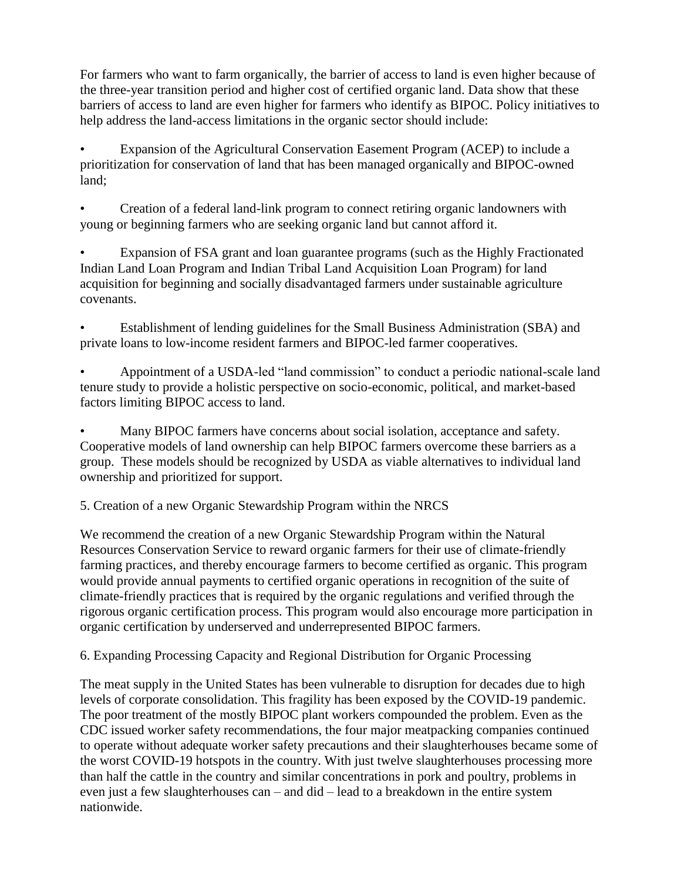For farmers who want to farm organically, the barrier of access to land is even higher because of the three-year transition period and higher cost of certified organic land. Data show that these barriers of access to land are even higher for farmers who identify as BIPOC. Policy initiatives to help address the land-access limitations in the organic sector should include:

• Expansion of the Agricultural Conservation Easement Program (ACEP) to include a prioritization for conservation of land that has been managed organically and BIPOC-owned land;

• Creation of a federal land-link program to connect retiring organic landowners with young or beginning farmers who are seeking organic land but cannot afford it.

Expansion of FSA grant and loan guarantee programs (such as the Highly Fractionated Indian Land Loan Program and Indian Tribal Land Acquisition Loan Program) for land acquisition for beginning and socially disadvantaged farmers under sustainable agriculture covenants.

• Establishment of lending guidelines for the Small Business Administration (SBA) and private loans to low-income resident farmers and BIPOC-led farmer cooperatives.

• Appointment of a USDA-led "land commission" to conduct a periodic national-scale land tenure study to provide a holistic perspective on socio-economic, political, and market-based factors limiting BIPOC access to land.

• Many BIPOC farmers have concerns about social isolation, acceptance and safety. Cooperative models of land ownership can help BIPOC farmers overcome these barriers as a group. These models should be recognized by USDA as viable alternatives to individual land ownership and prioritized for support.

5. Creation of a new Organic Stewardship Program within the NRCS

We recommend the creation of a new Organic Stewardship Program within the Natural Resources Conservation Service to reward organic farmers for their use of climate-friendly farming practices, and thereby encourage farmers to become certified as organic. This program would provide annual payments to certified organic operations in recognition of the suite of climate-friendly practices that is required by the organic regulations and verified through the rigorous organic certification process. This program would also encourage more participation in organic certification by underserved and underrepresented BIPOC farmers.

6. Expanding Processing Capacity and Regional Distribution for Organic Processing

The meat supply in the United States has been vulnerable to disruption for decades due to high levels of corporate consolidation. This fragility has been exposed by the COVID-19 pandemic. The poor treatment of the mostly BIPOC plant workers compounded the problem. Even as the CDC issued worker safety recommendations, the four major meatpacking companies continued to operate without adequate worker safety precautions and their slaughterhouses became some of the worst COVID-19 hotspots in the country. With just twelve slaughterhouses processing more than half the cattle in the country and similar concentrations in pork and poultry, problems in even just a few slaughterhouses can – and did – lead to a breakdown in the entire system nationwide.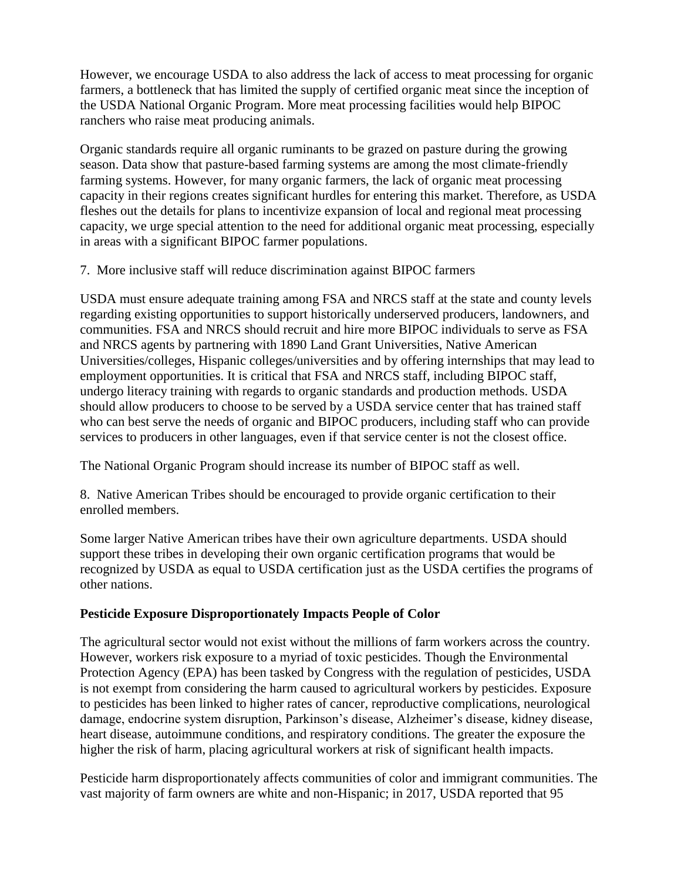However, we encourage USDA to also address the lack of access to meat processing for organic farmers, a bottleneck that has limited the supply of certified organic meat since the inception of the USDA National Organic Program. More meat processing facilities would help BIPOC ranchers who raise meat producing animals.

Organic standards require all organic ruminants to be grazed on pasture during the growing season. Data show that pasture-based farming systems are among the most climate-friendly farming systems. However, for many organic farmers, the lack of organic meat processing capacity in their regions creates significant hurdles for entering this market. Therefore, as USDA fleshes out the details for plans to incentivize expansion of local and regional meat processing capacity, we urge special attention to the need for additional organic meat processing, especially in areas with a significant BIPOC farmer populations.

7. More inclusive staff will reduce discrimination against BIPOC farmers

USDA must ensure adequate training among FSA and NRCS staff at the state and county levels regarding existing opportunities to support historically underserved producers, landowners, and communities. FSA and NRCS should recruit and hire more BIPOC individuals to serve as FSA and NRCS agents by partnering with 1890 Land Grant Universities, Native American Universities/colleges, Hispanic colleges/universities and by offering internships that may lead to employment opportunities. It is critical that FSA and NRCS staff, including BIPOC staff, undergo literacy training with regards to organic standards and production methods. USDA should allow producers to choose to be served by a USDA service center that has trained staff who can best serve the needs of organic and BIPOC producers, including staff who can provide services to producers in other languages, even if that service center is not the closest office.

The National Organic Program should increase its number of BIPOC staff as well.

8. Native American Tribes should be encouraged to provide organic certification to their enrolled members.

Some larger Native American tribes have their own agriculture departments. USDA should support these tribes in developing their own organic certification programs that would be recognized by USDA as equal to USDA certification just as the USDA certifies the programs of other nations.

## **Pesticide Exposure Disproportionately Impacts People of Color**

The agricultural sector would not exist without the millions of farm workers across the country. However, workers risk exposure to a myriad of toxic pesticides. Though the Environmental Protection Agency (EPA) has been tasked by Congress with the regulation of pesticides, USDA is not exempt from considering the harm caused to agricultural workers by pesticides. Exposure to pesticides has been linked to higher rates of cancer, reproductive complications, neurological damage, endocrine system disruption, Parkinson's disease, Alzheimer's disease, kidney disease, heart disease, autoimmune conditions, and respiratory conditions. The greater the exposure the higher the risk of harm, placing agricultural workers at risk of significant health impacts.

Pesticide harm disproportionately affects communities of color and immigrant communities. The vast majority of farm owners are white and non-Hispanic; in 2017, USDA reported that 95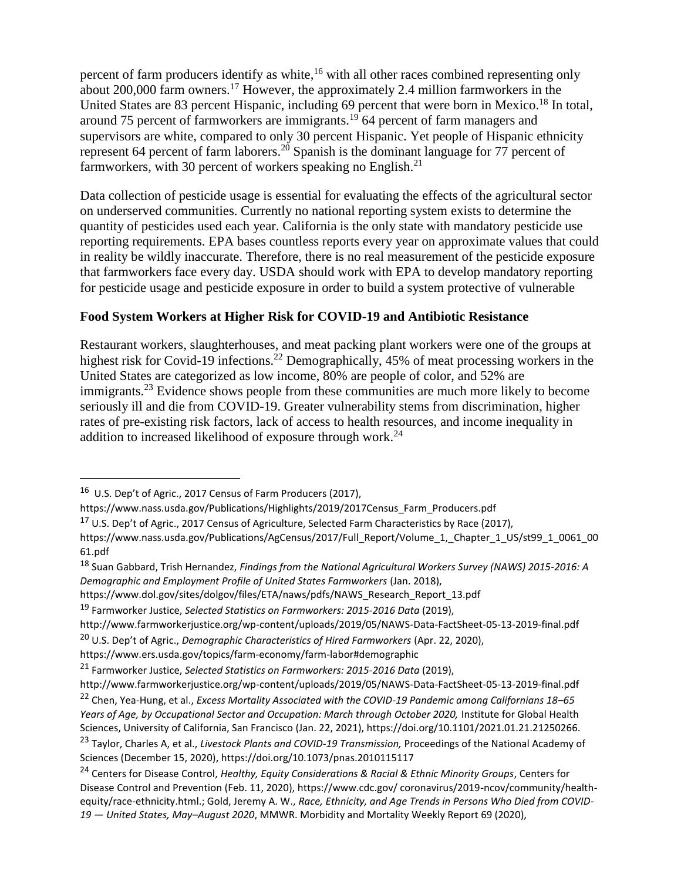percent of farm producers identify as white,<sup>16</sup> with all other races combined representing only about 200,000 farm owners.<sup>17</sup> However, the approximately 2.4 million farmworkers in the United States are 83 percent Hispanic, including 69 percent that were born in Mexico.<sup>18</sup> In total, around 75 percent of farmworkers are immigrants.<sup>19</sup> 64 percent of farm managers and supervisors are white, compared to only 30 percent Hispanic. Yet people of Hispanic ethnicity represent 64 percent of farm laborers.<sup>20</sup> Spanish is the dominant language for 77 percent of farmworkers, with 30 percent of workers speaking no English. $^{21}$ 

Data collection of pesticide usage is essential for evaluating the effects of the agricultural sector on underserved communities. Currently no national reporting system exists to determine the quantity of pesticides used each year. California is the only state with mandatory pesticide use reporting requirements. EPA bases countless reports every year on approximate values that could in reality be wildly inaccurate. Therefore, there is no real measurement of the pesticide exposure that farmworkers face every day. USDA should work with EPA to develop mandatory reporting for pesticide usage and pesticide exposure in order to build a system protective of vulnerable

## **Food System Workers at Higher Risk for COVID-19 and Antibiotic Resistance**

Restaurant workers, slaughterhouses, and meat packing plant workers were one of the groups at highest risk for Covid-19 infections.<sup>22</sup> Demographically, 45% of meat processing workers in the United States are categorized as low income, 80% are people of color, and 52% are immigrants.<sup>23</sup> Evidence shows people from these communities are much more likely to become seriously ill and die from COVID-19. Greater vulnerability stems from discrimination, higher rates of pre-existing risk factors, lack of access to health resources, and income inequality in addition to increased likelihood of exposure through work.<sup>24</sup>

 $\overline{a}$ 

https://www.ers.usda.gov/topics/farm-economy/farm-labor#demographic

<sup>&</sup>lt;sup>16</sup> U.S. Dep't of Agric., 2017 Census of Farm Producers (2017),

https://www.nass.usda.gov/Publications/Highlights/2019/2017Census\_Farm\_Producers.pdf

<sup>&</sup>lt;sup>17</sup> U.S. Dep't of Agric., 2017 Census of Agriculture, Selected Farm Characteristics by Race (2017),

https://www.nass.usda.gov/Publications/AgCensus/2017/Full\_Report/Volume\_1,\_Chapter\_1\_US/st99\_1\_0061\_00 61.pdf

<sup>18</sup> Suan Gabbard, Trish Hernandez, *Findings from the National Agricultural Workers Survey (NAWS) 2015-2016: A Demographic and Employment Profile of United States Farmworkers* (Jan. 2018),

https://www.dol.gov/sites/dolgov/files/ETA/naws/pdfs/NAWS\_Research\_Report\_13.pdf

<sup>19</sup> Farmworker Justice, *Selected Statistics on Farmworkers: 2015-2016 Data* (2019),

http://www.farmworkerjustice.org/wp-content/uploads/2019/05/NAWS-Data-FactSheet-05-13-2019-final.pdf

<sup>20</sup> U.S. Dep't of Agric., *Demographic Characteristics of Hired Farmworkers* (Apr. 22, 2020),

<sup>21</sup> Farmworker Justice, *Selected Statistics on Farmworkers: 2015-2016 Data* (2019),

http://www.farmworkerjustice.org/wp-content/uploads/2019/05/NAWS-Data-FactSheet-05-13-2019-final.pdf <sup>22</sup> Chen, Yea-Hung, et al., *Excess Mortality Associated with the COVID-19 Pandemic among Californians 18–65*  Years of Age, by Occupational Sector and Occupation: March through October 2020, Institute for Global Health Sciences, University of California, San Francisco (Jan. 22, 2021), https://doi.org/10.1101/2021.01.21.21250266.

<sup>23</sup> Taylor, Charles A, et al., *Livestock Plants and COVID-19 Transmission,* Proceedings of the National Academy of Sciences (December 15, 2020), https://doi.org/10.1073/pnas.2010115117

<sup>24</sup> Centers for Disease Control, *Healthy, Equity Considerations & Racial & Ethnic Minority Groups*, Centers for Disease Control and Prevention (Feb. 11, 2020), https://www.cdc.gov/ coronavirus/2019-ncov/community/healthequity/race-ethnicity.html.; Gold, Jeremy A. W., *Race, Ethnicity, and Age Trends in Persons Who Died from COVID-19 — United States, May–August 2020*, MMWR. Morbidity and Mortality Weekly Report 69 (2020),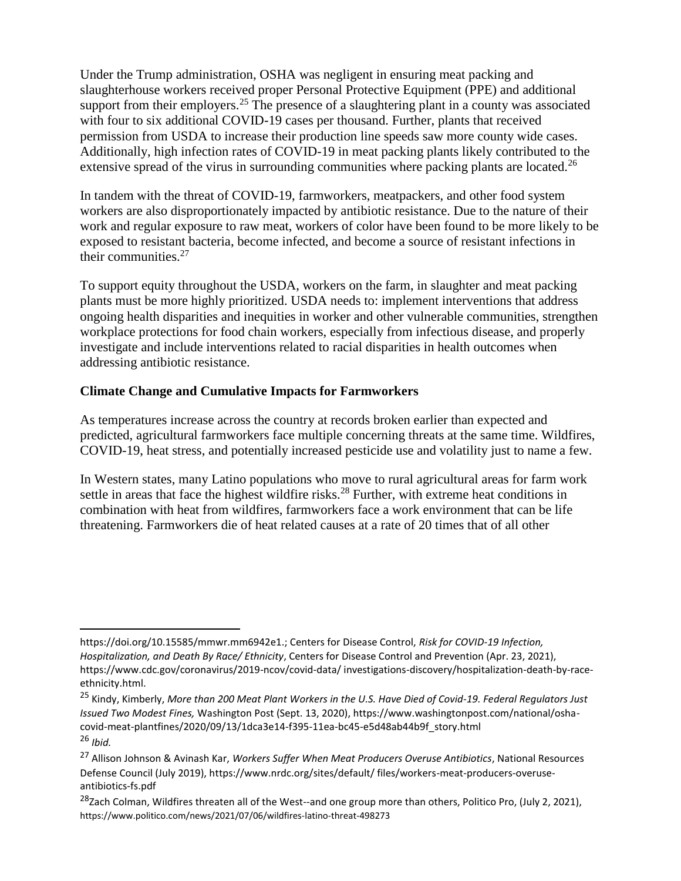Under the Trump administration, OSHA was negligent in ensuring meat packing and slaughterhouse workers received proper Personal Protective Equipment (PPE) and additional support from their employers.<sup>25</sup> The presence of a slaughtering plant in a county was associated with four to six additional COVID-19 cases per thousand. Further, plants that received permission from USDA to increase their production line speeds saw more county wide cases. Additionally, high infection rates of COVID-19 in meat packing plants likely contributed to the extensive spread of the virus in surrounding communities where packing plants are located.<sup>26</sup>

In tandem with the threat of COVID-19, farmworkers, meatpackers, and other food system workers are also disproportionately impacted by antibiotic resistance. Due to the nature of their work and regular exposure to raw meat, workers of color have been found to be more likely to be exposed to resistant bacteria, become infected, and become a source of resistant infections in their communities.<sup>27</sup>

To support equity throughout the USDA, workers on the farm, in slaughter and meat packing plants must be more highly prioritized. USDA needs to: implement interventions that address ongoing health disparities and inequities in worker and other vulnerable communities, strengthen workplace protections for food chain workers, especially from infectious disease, and properly investigate and include interventions related to racial disparities in health outcomes when addressing antibiotic resistance.

## **Climate Change and Cumulative Impacts for Farmworkers**

As temperatures increase across the country at records broken earlier than expected and predicted, agricultural farmworkers face multiple concerning threats at the same time. Wildfires, COVID-19, heat stress, and potentially increased pesticide use and volatility just to name a few.

In Western states, many Latino populations who move to rural agricultural areas for farm work settle in areas that face the highest wildfire risks.<sup>28</sup> Further, with extreme heat conditions in combination with heat from wildfires, farmworkers face a work environment that can be life threatening. Farmworkers die of heat related causes at a rate of 20 times that of all other

 $\overline{a}$ https://doi.org/10.15585/mmwr.mm6942e1.; Centers for Disease Control, *Risk for COVID-19 Infection, Hospitalization, and Death By Race/ Ethnicity*, Centers for Disease Control and Prevention (Apr. 23, 2021), https://www.cdc.gov/coronavirus/2019-ncov/covid-data/ investigations-discovery/hospitalization-death-by-raceethnicity.html.

<sup>25</sup> Kindy, Kimberly, *More than 200 Meat Plant Workers in the U.S. Have Died of Covid-19. Federal Regulators Just Issued Two Modest Fines,* Washington Post (Sept. 13, 2020), https://www.washingtonpost.com/national/oshacovid-meat-plantfines/2020/09/13/1dca3e14-f395-11ea-bc45-e5d48ab44b9f\_story.html <sup>26</sup> *Ibid.*

<sup>27</sup> Allison Johnson & Avinash Kar, *Workers Suffer When Meat Producers Overuse Antibiotics*, National Resources Defense Council (July 2019), https://www.nrdc.org/sites/default/ files/workers-meat-producers-overuseantibiotics-fs.pdf

<sup>&</sup>lt;sup>28</sup>Zach Colman, Wildfires threaten all of the West--and one group more than others, Politico Pro, (July 2, 2021), https://www.politico.com/news/2021/07/06/wildfires-latino-threat-498273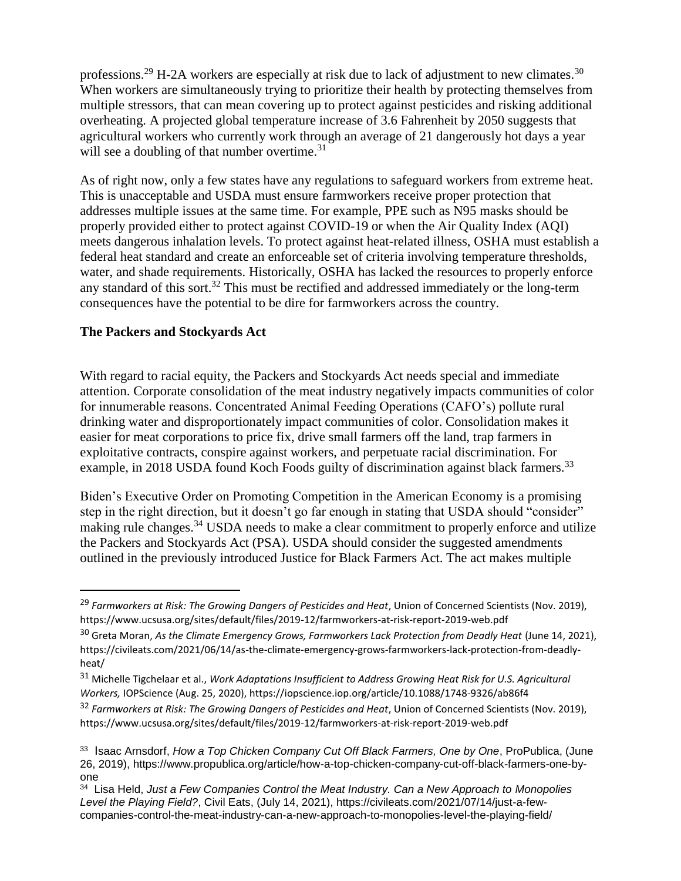professions.<sup>29</sup> H-2A workers are especially at risk due to lack of adjustment to new climates.<sup>30</sup> When workers are simultaneously trying to prioritize their health by protecting themselves from multiple stressors, that can mean covering up to protect against pesticides and risking additional overheating. A projected global temperature increase of 3.6 Fahrenheit by 2050 suggests that agricultural workers who currently work through an average of 21 dangerously hot days a year will see a doubling of that number overtime.<sup>31</sup>

As of right now, only a few states have any regulations to safeguard workers from extreme heat. This is unacceptable and USDA must ensure farmworkers receive proper protection that addresses multiple issues at the same time. For example, PPE such as N95 masks should be properly provided either to protect against COVID-19 or when the Air Quality Index (AQI) meets dangerous inhalation levels. To protect against heat-related illness, OSHA must establish a federal heat standard and create an enforceable set of criteria involving temperature thresholds, water, and shade requirements. Historically, OSHA has lacked the resources to properly enforce any standard of this sort.<sup>32</sup> This must be rectified and addressed immediately or the long-term consequences have the potential to be dire for farmworkers across the country.

### **The Packers and Stockyards Act**

 $\overline{a}$ 

With regard to racial equity, the Packers and Stockyards Act needs special and immediate attention. Corporate consolidation of the meat industry negatively impacts communities of color for innumerable reasons. Concentrated Animal Feeding Operations (CAFO's) pollute rural drinking water and disproportionately impact communities of color. Consolidation makes it easier for meat corporations to price fix, drive small farmers off the land, trap farmers in exploitative contracts, conspire against workers, and perpetuate racial discrimination. For example, in 2018 USDA found Koch Foods guilty of discrimination against black farmers.<sup>33</sup>

Biden's Executive Order on Promoting Competition in the American Economy is a promising step in the right direction, but it doesn't go far enough in stating that USDA should "consider" making rule changes.<sup>34</sup> USDA needs to make a clear commitment to properly enforce and utilize the Packers and Stockyards Act (PSA). USDA should consider the suggested amendments outlined in the previously introduced Justice for Black Farmers Act. The act makes multiple

<sup>29</sup> *Farmworkers at Risk: The Growing Dangers of Pesticides and Heat*, Union of Concerned Scientists (Nov. 2019), https://www.ucsusa.org/sites/default/files/2019-12/farmworkers-at-risk-report-2019-web.pdf

<sup>&</sup>lt;sup>30</sup> Greta Moran, *As the Climate Emergency Grows, Farmworkers Lack Protection from Deadly Heat (June 14, 2021),* https://civileats.com/2021/06/14/as-the-climate-emergency-grows-farmworkers-lack-protection-from-deadlyheat/

<sup>31</sup> Michelle Tigchelaar et al., *Work Adaptations Insufficient to Address Growing Heat Risk for U.S. Agricultural Workers,* IOPScience (Aug. 25, 2020), https://iopscience.iop.org/article/10.1088/1748-9326/ab86f4

<sup>32</sup> *Farmworkers at Risk: The Growing Dangers of Pesticides and Heat*, Union of Concerned Scientists (Nov. 2019), https://www.ucsusa.org/sites/default/files/2019-12/farmworkers-at-risk-report-2019-web.pdf

<sup>33</sup> Isaac Arnsdorf, *How a Top Chicken Company Cut Off Black Farmers, One by One*, ProPublica, (June 26, 2019), https://www.propublica.org/article/how-a-top-chicken-company-cut-off-black-farmers-one-byone

<sup>34</sup> Lisa Held, *Just a Few Companies Control the Meat Industry. Can a New Approach to Monopolies Level the Playing Field?*, Civil Eats, (July 14, 2021), https://civileats.com/2021/07/14/just-a-fewcompanies-control-the-meat-industry-can-a-new-approach-to-monopolies-level-the-playing-field/